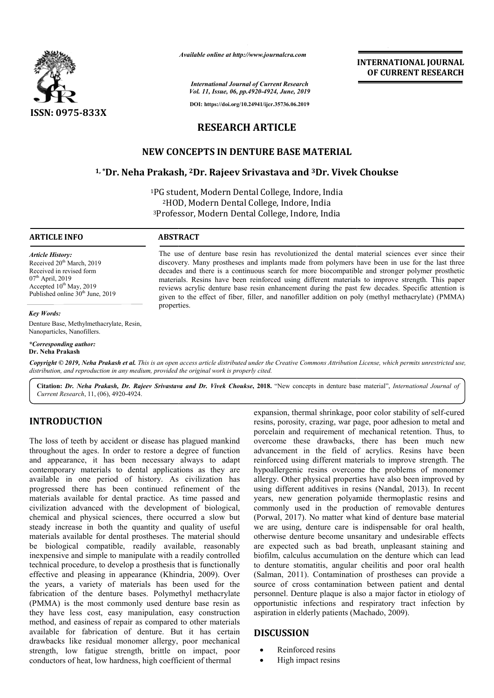

*Available online at http://www.journalcra.com*

**INTERNATIONAL JOURNAL OF CURRENT RESEARCH**

*International Journal of Current Research Vol. 11, Issue, 06, pp.4920-4924, June, 2019*

**DOI: https://doi.org/10.24941/ijcr.35736.06.2019**

# **RESEARCH ARTICLE**

## **NEW CONCEPTS IN DENTURE BASE MATERIAL**

## <sup>1,\*</sup>Dr. Neha Prakash, <sup>2</sup>Dr. Rajeev Srivastava and <sup>3</sup>Dr. Vivek Choukse

<sup>1</sup>PG student, Modern Dental College, Indore, India 2HOD, Modern Dental College, Indore, India <sup>2</sup>HOD, Modern Dental College, Indore, India<br><sup>3</sup>Professor, Modern Dental College, Indore, India

The use of denture base resin has revolutionized the dental material sciences ever since their discovery. Many prostheses and implants made from polymers have been in use for the last three The use of denture base resin has revolutionized the dental material sciences ever since their discovery. Many prostheses and implants made from polymers have been in use for the last three decades and there is a continuou

materials. Resins have been reinforced using different materials to improve strength. This paper reviews acrylic denture base resin enhancement during the past few decades. Specific attention is reviews acrylic denture base resin enhancement during the past few decades. Specific attention is given to the effect of fiber, filler, and nanofiller addition on poly (methyl methacrylate) (PMMA)

#### **ARTICLE INFO ABSTRACT**

properties.

*Article History:* Received  $20<sup>th</sup>$  March, 2019 Received in revised form  $07<sup>th</sup>$  April, 2019 Accepted 10<sup>th</sup> May, 2019 Published online 30<sup>th</sup> June, 2019

#### *Key Words:*

Denture Base, Methylmethacrylate, Resin, Nanoparticles, Nanofillers.

*\*Corresponding author:*

**Dr. Neha Prakash**

Copyright © 2019, Neha Prakash et al. This is an open access article distributed under the Creative Commons Attribution License, which permits unrestricted use, *distribution, and reproduction in any medium, provided the original work is properly cited.*

Citation: Dr. Neha Prakash, Dr. Rajeev Srivastava and Dr. Vivek Choukse, 2018. "New concepts in denture base material", *International Journal of Current Research*, 11, (06), 4920-4924.

## **INTRODUCTION**

The loss of teeth by accident or disease has plagued mankind throughout the ages. In order to restore a degree of function and appearance, it has been necessary always to adapt contemporary materials to dental applications as they are available in one period of history. As civilization has progressed there has been continued refinement of the materials available for dental practice. As time passed and civilization advanced with the development of biological, chemical and physical sciences, there occurred a slow but steady increase in both the quantity and quality of useful materials available for dental prostheses. The material should be biological compatible, readily available, reasonably inexpensive and simple to manipulate with a readily controlled technical procedure, to develop a prosthesis that is functionally effective and pleasing in appearance (Khindria, 2009). Over the years, a variety of materials has been used for the fabrication of the denture bases. Polymethyl methacrylate (PMMA) is the most commonly used denture base resin as they have less cost, easy manipulation, easy construction method, and easiness of repair as compared to other materials available for fabrication of denture. But it has certain drawbacks like residual monomer allergy, poor mechanical strength, low fatigue strength, brittle on impact, poor conductors of heat, low hardness, high coefficient of thermal ily available, reasonably<br>the with a readily controlled<br>rosthesis that is functionally<br>nee (Khindria, 2009). Over

expansion, thermal shrinkage, poor color stability of self-cured resins, porosity, crazing, war page, poor adhesion to metal and porcelain and requirement of mechanical retention. Thus, to overcome these drawbacks, there has been much new resins, porosity, crazing, war page, poor adhesion to metal and<br>porcelain and requirement of mechanical retention. Thus, to<br>overcome these drawbacks, there has been much new<br>advancement in the field of acrylics. Resins hav reinforced using different materials to improve strength. The hypoallergenic resins overcome the problems of monomer allergy. Other physical properties have also been improved by reinforced using different materials to improve strength. The hypoallergenic resins overcome the problems of monomer allergy. Other physical properties have also been improved by using different additives in resins (Nandal years, new generation polyamide thermoplastic resins and commonly used in the production of removable dentures (Porwal, 2017). No matter what kind of denture base material we are using, denture care is indispensable for oral health, years, new generation polyamide thermoplastic resins and commonly used in the production of removable dentures (Porwal, 2017). No matter what kind of denture base material we are using, denture care is indispensable for or are expected such as bad breath, unpleasant staining and biofilm, calculus accumulation on the denture which can lead to denture stomatitis, angular cheilitis and poor oral health (Salman, 2011). Contamination of prostheses can provide a source of cross contamination between patient and dental personnel. Denture plaque is also a major factor in etiology of opportunistic infections and respiratory tract infection by aspiration in elderly patients (Machado, 2009). expected such as bad breath, unpleasant staining and lm, calculus accumulation on the denture which can lead<br>enture stomatitis, angular cheilitis and poor oral health source of cross contamination between patient and dental personnel. Denture plaque is also a major factor in etiology of opportunistic infections and respiratory tract infection by aspiration in elderly patients (Machado,

## **DISCUSSION**

- Reinforced resins
- High impact resins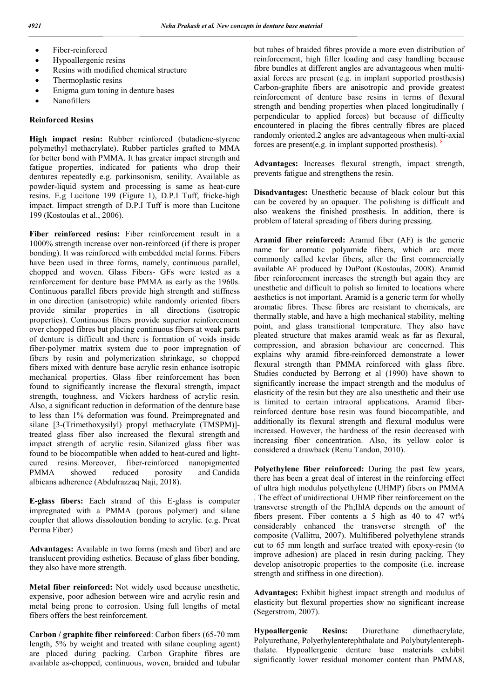- Fiber-reinforced
- Hypoallergenic resins
- Resins with modified chemical structure
- Thermoplastic resins
- Enigma gum toning in denture bases
- Nanofillers

#### **Reinforced Resins**

**High impact resin:** Rubber reinforced (butadiene-styrene polymethyl methacrylate). Rubber particles grafted to MMA for better bond with PMMA. It has greater impact strength and fatigue properties, indicated for patients who drop their dentures repeatedly e.g. parkinsonism, senility. Available as powder-liquid system and processing is same as heat-cure resins. E.g Lucitone 199 (Figure 1), D.P.I Tuff, fricke-high impact. Iimpact strength of D.P.I Tuff is more than Lucitone 199 (Kostoulas et al., 2006).

**Fiber reinforced resins:** Fiber reinforcement result in a 1000% strength increase over non-reinforced (if there is proper bonding). It was reinforced with embedded metal forms. Fibers have been used in three forms, namely, continuous parallel, chopped and woven. Glass Fibers- GFs were tested as a reinforcement for denture base PMMA as early as the 1960s. Continuous parallel fibers provide high strength and stiffness in one direction (anisotropic) while randomly oriented fibers provide similar properties in all directions (isotropic properties). Continuous fibers provide superior reinforcement over chopped fibres but placing continuous fibers at weak parts of denture is difficult and there is formation of voids inside fiber-polymer matrix system due to poor impregnation of fibers by resin and polymerization shrinkage, so chopped fibers mixed with denture base acrylic resin enhance isotropic mechanical properties. Glass fiber reinforcement has been found to significantly increase the flexural strength, impact strength, toughness, and Vickers hardness of acrylic resin. Also, a significant reduction in deformation of the denture base to less than 1% deformation was found. Preimpregnated and silane [3-(Trimethoxysilyl) propyl methacrylate (TMSPM)] treated glass fiber also increased the flexural strength and impact strength of acrylic resin. Silanized glass fiber was found to be biocompatible when added to heat-cured and lightcured resins. Moreover, fiber-reinforced nanopigmented PMMA showed reduced porosity and Candida albicans adherence (Abdulrazzaq Naji, 2018).

**E-glass fibers:** Each strand of this E-glass is computer impregnated with a PMMA (porous polymer) and silane coupler that allows dissoloution bonding to acrylic. (e.g. Preat Perma Fiber)

**Advantages:** Available in two forms (mesh and fiber) and are translucent providing esthetics. Because of glass fiber bonding, they also have more strength.

**Metal fiber reinforced:** Not widely used because unesthetic, expensive, poor adhesion between wire and acrylic resin and metal being prone to corrosion. Using full lengths of metal fibers offers the best reinforcement.

**Carbon / graphite fiber reinforced**: Carbon fibers (65-70 mm length, 5% by weight and treated with silane coupling agent) are placed during packing. Carbon Graphite fibres are available as-chopped, continuous, woven, braided and tubular but tubes of braided fibres provide a more even distribution of reinforcement, high filler loading and easy handling because fibre bundles at different angles are advantageous when multiaxial forces are present (e.g. in implant supported prosthesis) Carbon-graphite fibers are anisotropic and provide greatest reinforcement of denture base resins in terms of flexural strength and bending properties when placed longitudinally ( perpendicular to applied forces) but because of difficulty encountered in placing the fibres centrally fibres are placed randomly oriented.2 angles are advantageous when multi-axial forces are present(e.g. in implant supported prosthesis).  $\frac{8}{3}$ 

**Advantages:** Increases flexural strength, impact strength, prevents fatigue and strengthens the resin.

**Disadvantages:** Unesthetic because of black colour but this can be covered by an opaquer. The polishing is difficult and also weakens the finished prosthesis. In addition, there is problem of lateral spreading of fibers during pressing.

**Aramid fiber reinforced:** Aramid fiber (AF) is the generic name for aromatic polyamide fibers, which arc more commonly called kevlar fibers, after the first commercially available AF produced by DuPont (Kostoulas, 2008). Aramid fiber reinforcement increases the strength but again they are unesthetic and difficult to polish so limited to locations where aesthetics is not important. Aramid is a generic term for wholly aromatic fibres. These fibres are resistant to chemicals, are thermally stable, and have a high mechanical stability, melting point, and glass transitional temperature. They also have pleated structure that makes aramid weak as far as flexural, compression, and abrasion behaviour are concerned. This explains why aramid fibre-reinforced demonstrate a lower flexural strength than PMMA reinforced with glass fibre. Studies conducted by Berrong et al (1990) have shown to significantly increase the impact strength and the modulus of elasticity of the resin but they are also unesthetic and their use is limited to certain intraoral applications. Aramid fiberreinforced denture base resin was found biocompatible, and additionally its flexural strength and flexural modulus were increased. However, the hardness of the resin decreased with increasing fiber concentration. Also, its yellow color is considered a drawback (Renu Tandon, 2010).

**Polyethylene fiber reinforced:** During the past few years, there has been a great deal of interest in the reinforcing effect of ultra high modulus polyethylene (UHMP) fibers on PMMA . The effect of unidirectional UHMP fiber reinforcement on the transverse strength of the Ph;IhlA depends on the amount of fibers present. Fiber contents a 5 high as 40 to 47 wt% considerably enhanced the transverse strength of' the composite (Vallittu, 2007). Multifibered polyethylene strands cut to 65 mm length and surface treated with epoxy-resin (to improve adhesion) are placed in resin during packing. They develop anisotropic properties to the composite (i.e. increase strength and stiffness in one direction).

**Advantages:** Exhibit highest impact strength and modulus of elasticity but flexural properties show no significant increase (Segerstrom, 2007).

**Hypoallergenic Resins:** Diurethane dimethacrylate, Polyurethane, Polyethylenterephthalate and Polybutylenterephthalate. Hypoallergenic denture base materials exhibit significantly lower residual monomer content than PMMA8,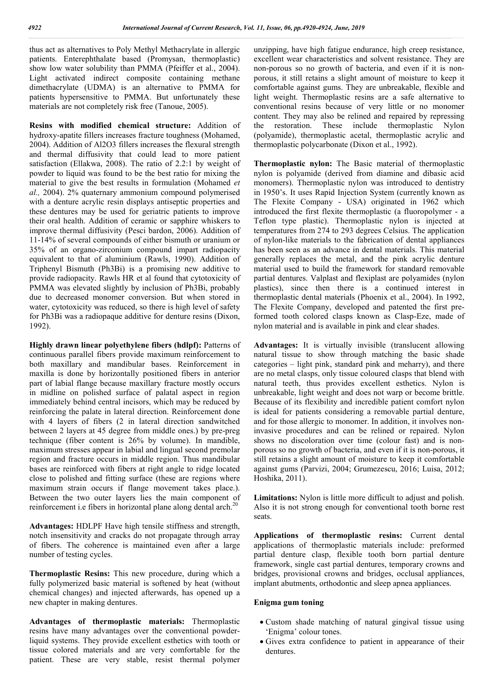thus act as alternatives to Poly Methyl Methacrylate in allergic patients. Enterephthalate based (Promysan, thermoplastic) show low water solubility than PMMA (Pfeiffer et al., 2004). Light activated indirect composite containing methane dimethacrylate (UDMA) is an alternative to PMMA for patients hypersensitive to PMMA. But unfortunately these materials are not completely risk free (Tanoue, 2005).

**Resins with modified chemical structure:** Addition of hydroxy-apatite fillers increases fracture toughness (Mohamed, 2004). Addition of Al2O3 fillers increases the flexural strength and thermal diffusivity that could lead to more patient satisfaction (Ellakwa, 2008). The ratio of 2.2:1 by weight of powder to liquid was found to be the best ratio for mixing the material to give the best results in formulation (Mohamed *et al.,* 2004). 2% quaternary ammonium compound polymerised with a denture acrylic resin displays antiseptic properties and these dentures may be used for geriatric patients to improve their oral health. Addition of ceramic or sapphire whiskers to improve thermal diffusivity (Pesci bardon, 2006). Addition of 11-14% of several compounds of either bismuth or uranium or 35% of an organo-zirconium compound impart radiopacity equivalent to that of aluminium (Rawls, 1990). Addition of Triphenyl Bismuth (Ph3Bi) is a promising new additive to provide radiopacity. Rawls HR et al found that cytotoxicity of PMMA was elevated slightly by inclusion of Ph3Bi, probably due to decreased monomer conversion. But when stored in water, cytotoxicity was reduced, so there is high level of safety for Ph3Bi was a radiopaque additive for denture resins (Dixon, 1992).

**Highly drawn linear polyethylene fibers (hdlpf):** Patterns of continuous parallel fibers provide maximum reinforcement to both maxillary and mandibular bases. Reinforcement in maxilla is done by horizontally positioned fibers in anterior part of labial flange because maxillary fracture mostly occurs in midline on polished surface of palatal aspect in region immediately behind central incisors, which may be reduced by reinforcing the palate in lateral direction. Reinforcement done with 4 layers of fibers (2 in lateral direction sandwitched between 2 layers at 45 degree from middle ones.) by pre-preg technique (fiber content is 26% by volume). In mandible, maximum stresses appear in labial and lingual second premolar region and fracture occurs in middle region. Thus mandibular bases are reinforced with fibers at right angle to ridge located close to polished and fitting surface (these are regions where maximum strain occurs if flange movement takes place.). Between the two outer layers lies the main component of reinforcement i.e fibers in horizontal plane along dental arch.<sup>20</sup>

**Advantages:** HDLPF Have high tensile stiffness and strength, notch insensitivity and cracks do not propagate through array of fibers. The coherence is maintained even after a large number of testing cycles.

**Thermoplastic Resins:** This new procedure, during which a fully polymerized basic material is softened by heat (without chemical changes) and injected afterwards, has opened up a new chapter in making dentures.

**Advantages of thermoplastic materials:** Thermoplastic resins have many advantages over the conventional powderliquid systems. They provide excellent esthetics with tooth or tissue colored materials and are very comfortable for the patient. These are very stable, resist thermal polymer

unzipping, have high fatigue endurance, high creep resistance, excellent wear characteristics and solvent resistance. They are non-porous so no growth of bacteria, and even if it is nonporous, it still retains a slight amount of moisture to keep it comfortable against gums. They are unbreakable, flexible and light weight. Thermoplastic resins are a safe alternative to conventional resins because of very little or no monomer content. They may also be relined and repaired by repressing the restoration. These include thermoplastic Nylon (polyamide), thermoplastic acetal, thermoplastic acrylic and thermoplastic polycarbonate (Dixon et al., 1992).

**Thermoplastic nylon:** The Basic material of thermoplastic nylon is polyamide (derived from diamine and dibasic acid monomers). Thermoplastic nylon was introduced to dentistry in 1950's. It uses Rapid Injection System (currently known as The Flexite Company - USA) originated in 1962 which introduced the first flexite thermoplastic (a fluoropolymer - a Teflon type plastic). Thermoplastic nylon is injected at temperatures from 274 to 293 degrees Celsius. The application of nylon-like materials to the fabrication of dental appliances has been seen as an advance in dental materials. This material generally replaces the metal, and the pink acrylic denture material used to build the framework for standard removable partial dentures. Valplast and flexiplast are polyamides (nylon plastics), since then there is a continued interest in thermoplastic dental materials (Phoenix et al., 2004). In 1992, The Flexite Company, developed and patented the first preformed tooth colored clasps known as Clasp-Eze, made of nylon material and is available in pink and clear shades.

**Advantages:** It is virtually invisible (translucent allowing natural tissue to show through matching the basic shade categories – light pink, standard pink and meharry), and there are no metal clasps, only tissue coloured clasps that blend with natural teeth, thus provides excellent esthetics. Nylon is unbreakable, light weight and does not warp or become brittle. Because of its flexibility and incredible patient comfort nylon is ideal for patients considering a removable partial denture, and for those allergic to monomer. In addition, it involves noninvasive procedures and can be relined or repaired. Nylon shows no discoloration over time (colour fast) and is nonporous so no growth of bacteria, and even if it is non-porous, it still retains a slight amount of moisture to keep it comfortable against gums (Parvizi, 2004; Grumezescu, 2016; Luisa, 2012; Hoshika, 2011).

**Limitations:** Nylon is little more difficult to adjust and polish. Also it is not strong enough for conventional tooth borne rest seats.

**Applications of thermoplastic resins:** Current dental applications of thermoplastic materials include: preformed partial denture clasp, flexible tooth born partial denture framework, single cast partial dentures, temporary crowns and bridges, provisional crowns and bridges, occlusal appliances, implant abutments, orthodontic and sleep apnea appliances.

#### **Enigma gum toning**

- Custom shade matching of natural gingival tissue using 'Enigma' colour tones.
- Gives extra confidence to patient in appearance of their dentures.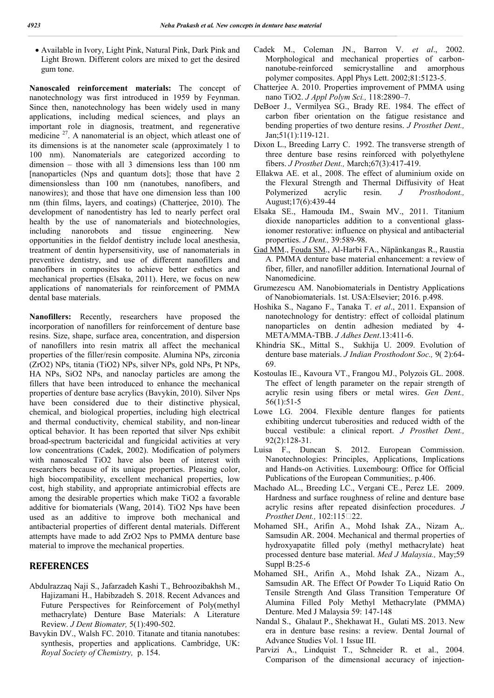Available in Ivory, Light Pink, Natural Pink, Dark Pink and Light Brown. Different colors are mixed to get the desired gum tone.

**Nanoscaled reinforcement materials:** The concept of nanotechnology was first introduced in 1959 by Feynman. Since then, nanotechnology has been widely used in many applications, including medical sciences, and plays an important role in diagnosis, treatment, and regenerative medicine <sup>27</sup>. A nanomaterial is an object, which atleast one of its dimensions is at the nanometer scale (approximately 1 to 100 nm). Nanomaterials are categorized according to dimension – those with all 3 dimensions less than 100 nm [nanoparticles (Nps and quantum dots]; those that have 2 dimensionsless than 100 nm (nanotubes, nanofibers, and nanowires); and those that have one dimension less than 100 nm (thin films, layers, and coatings) (Chatterjee, 2010). The development of nanodentistry has led to nearly perfect oral health by the use of nanomaterials and biotechnologies, including nanorobots and tissue engineering. New opportunities in the fieldof dentistry include local anesthesia, treatment of dentin hypersensitivity, use of nanomaterials in preventive dentistry, and use of different nanofillers and nanofibers in composites to achieve better esthetics and mechanical properties (Elsaka, 2011). Here, we focus on new applications of nanomaterials for reinforcement of PMMA dental base materials.

**Nanofillers:** Recently, researchers have proposed the incorporation of nanofillers for reinforcement of denture base resins. Size, shape, surface area, concentration, and dispersion of nanofillers into resin matrix all affect the mechanical properties of the filler/resin composite. Alumina NPs, zirconia (ZrO2) NPs, titania (TiO2) NPs, silver NPs, gold NPs, Pt NPs, HA NPs, SiO2 NPs, and nanoclay particles are among the fillers that have been introduced to enhance the mechanical properties of denture base acrylics (Bavykin, 2010). Silver Nps have been considered due to their distinctive physical, chemical, and biological properties, including high electrical and thermal conductivity, chemical stability, and non-linear optical behavior. It has been reported that silver Nps exhibit broad-spectrum bactericidal and fungicidal activities at very low concentrations (Cadek, 2002). Modification of polymers with nanoscaled TiO2 have also been of interest with researchers because of its unique properties. Pleasing color, high biocompatibility, excellent mechanical properties, low cost, high stability, and appropriate antimicrobial effects are among the desirable properties which make TiO2 a favorable additive for biomaterials (Wang, 2014). TiO2 Nps have been used as an additive to improve both mechanical and antibacterial properties of different dental materials. Different attempts have made to add ZrO2 Nps to PMMA denture base material to improve the mechanical properties.

## **REFERENCES**

- Abdulrazzaq Naji S., Jafarzadeh Kashi T., Behroozibakhsh M., Hajizamani H., Habibzadeh S. 2018. Recent Advances and Future Perspectives for Reinforcement of Poly(methyl methacrylate) Denture Base Materials: A Literature Review. *J Dent Biomater,* 5(1):490-502.
- Bavykin DV., Walsh FC. 2010. Titanate and titania nanotubes: synthesis, properties and applications. Cambridge, UK: *Royal Society of Chemistry,* p. 154.
- Cadek M., Coleman JN., Barron V. *et al*., 2002. Morphological and mechanical properties of carbonnanotube-reinforced semicrystalline and amorphous polymer composites. Appl Phys Lett. 2002;81:5123-5.
- Chatterjee A. 2010. Properties improvement of PMMA using nano TiO2. *J Appl Polym Sci.,* 118:2890–7.
- DeBoer J., Vermilyea SG., Brady RE. 1984. The effect of carbon fiber orientation on the fatigue resistance and bending properties of two denture resins. *J Prosthet Dent.,* Jan;51(1):119-121.
- Dixon L., Breeding Larry C. 1992. The transverse strength of three denture base resins reinforced with polyethylene fibers. *J Prosthet Dent.,* March;67(3):417-419.
- Ellakwa AE. et al., 2008. The effect of aluminium oxide on the Flexural Strength and Thermal Diffusivity of Heat Polymerized acrylic resin. *J Prosthodont.,* August;17(6):439-44
- Elsaka SE., Hamouda IM., Swain MV., 2011. Titanium dioxide nanoparticles addition to a conventional glassionomer restorative: influence on physical and antibacterial properties. *J Dent.,* 39:589-98.
- Gad MM., Fouda SM., Al-Harbi FA., Näpänkangas R., Raustia A. PMMA denture base material enhancement: a review of fiber, filler, and nanofiller addition. International Journal of Nanomedicine.
- Grumezescu AM. Nanobiomaterials in Dentistry Applications of Nanobiomaterials. 1st. USA:Elsevier; 2016. p.498.
- Hoshika S., Nagano F., Tanaka T. *et al*., 2011. Expansion of nanotechnology for dentistry: effect of colloidal platinum nanoparticles on dentin adhesion mediated by 4- META/MMA-TBB. *J Adhes Dent*.13:411-6.
- Khindria SK., Mittal S., Sukhija U. 2009. Evolution of denture base materials. *J Indian Prosthodont Soc.,* 9( 2):64- 69.
- Kostoulas IE., Kavoura VT., Frangou MJ., Polyzois GL. 2008. The effect of length parameter on the repair strength of acrylic resin using fibers or metal wires. *Gen Dent.,* 56(1):51-5
- Lowe LG. 2004. Flexible denture flanges for patients exhibiting undercut tuberosities and reduced width of the buccal vestibule: a clinical report. *J Prosthet Dent.,* 92(2):128-31.
- Luisa F., Duncan S. 2012. European Commission. Nanotechnologies: Principles, Applications, Implications and Hands-on Activities. Luxembourg: Office for Official Publications of the European Communities;. p.406.
- Machado AL., Breeding LC., Vergani CE., Perez LE. 2009. Hardness and surface roughness of reline and denture base acrylic resins after repeated disinfection procedures. *J Prosthet Dent.,* 102:115<sup>[22]</sup>.
- Mohamed SH., Arifin A., Mohd Ishak ZA., Nizam A,. Samsudin AR. 2004. Mechanical and thermal properties of hydroxyapatite filled poly (methyl methacrylate) heat processed denture base material. *Med J Malaysia.,* May;59 Suppl B:25-6
- Mohamed SH., Arifin A., Mohd Ishak ZA., Nizam A., Samsudin AR. The Effect Of Powder To Liquid Ratio On Tensile Strength And Glass Transition Temperature Of Alumina Filled Poly Methyl Methacrylate (PMMA) Denture. Med J Malaysia 59: 147-148
- Nandal S., Ghalaut P., Shekhawat H., Gulati MS. 2013. New era in denture base resins: a review. Dental Journal of Advance Studies Vol. 1 Issue III.
- Parvizi A., Lindquist T., Schneider R. et al., 2004. Comparison of the dimensional accuracy of injection-